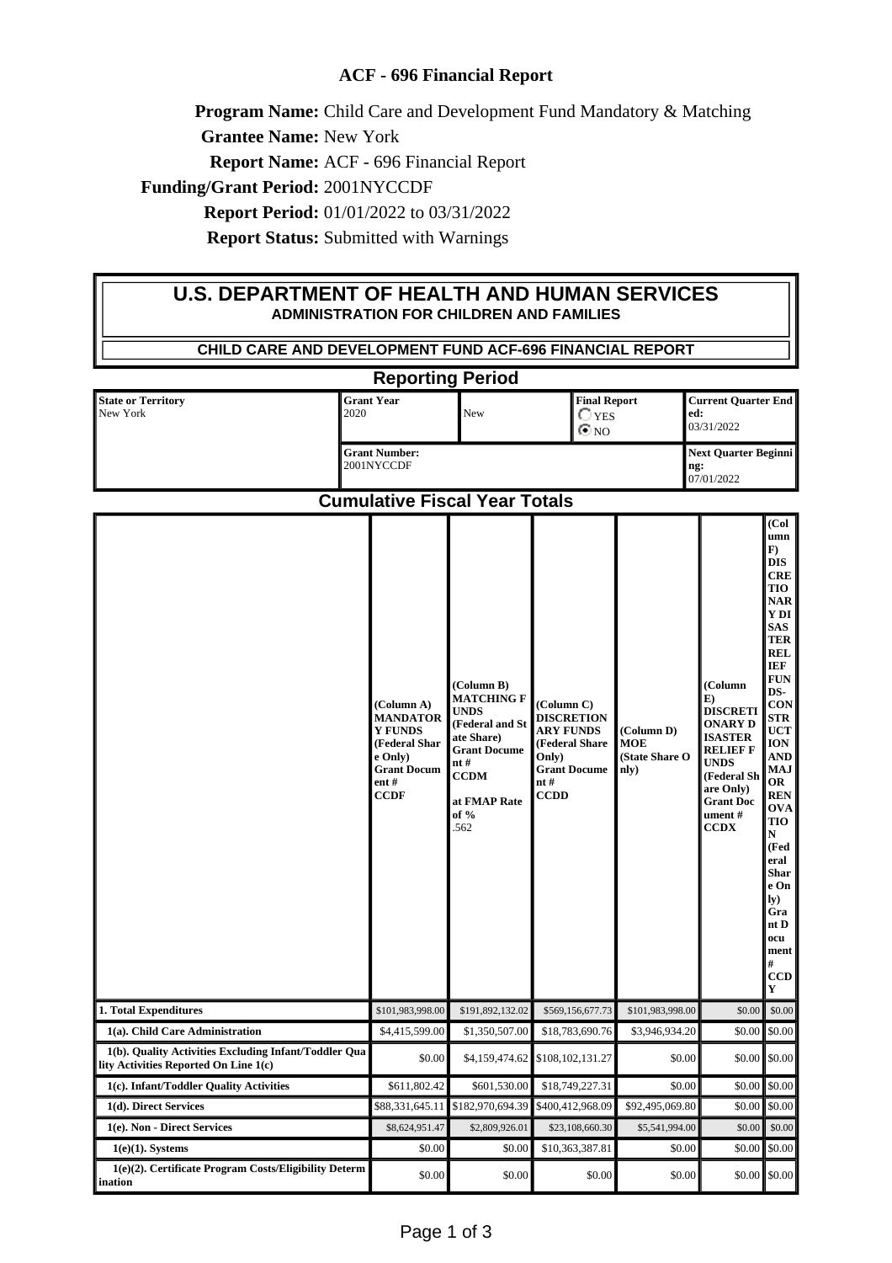## **ACF - 696 Financial Report**

**Program Name:** Child Care and Development Fund Mandatory & Matching

**Grantee Name:** New York

**Report Name:** ACF - 696 Financial Report

**Funding/Grant Period:** 2001NYCCDF

**Report Period:** 01/01/2022 to 03/31/2022

**Report Status:** Submitted with Warnings

## **U.S. DEPARTMENT OF HEALTH AND HUMAN SERVICES ADMINISTRATION FOR CHILDREN AND FAMILIES**

| CHILD CARE AND DEVELOPMENT FUND ACF-696 FINANCIAL REPORT                                       |                                                                                                                          |                                                                                                                                                             |                                                                                                                             |                                                    |                                                                                                                                                                           |                                                                                                                                                                                                                                                                                                                                                |  |
|------------------------------------------------------------------------------------------------|--------------------------------------------------------------------------------------------------------------------------|-------------------------------------------------------------------------------------------------------------------------------------------------------------|-----------------------------------------------------------------------------------------------------------------------------|----------------------------------------------------|---------------------------------------------------------------------------------------------------------------------------------------------------------------------------|------------------------------------------------------------------------------------------------------------------------------------------------------------------------------------------------------------------------------------------------------------------------------------------------------------------------------------------------|--|
| <b>Reporting Period</b>                                                                        |                                                                                                                          |                                                                                                                                                             |                                                                                                                             |                                                    |                                                                                                                                                                           |                                                                                                                                                                                                                                                                                                                                                |  |
| <b>State or Territory</b><br>2020<br>New York                                                  | <b>Grant Year</b>                                                                                                        | <b>Final Report</b><br>$\bigcirc$ yes<br>New<br>$\odot$ NO                                                                                                  |                                                                                                                             |                                                    | <b>Current Quarter End</b><br>ed:<br>03/31/2022                                                                                                                           |                                                                                                                                                                                                                                                                                                                                                |  |
|                                                                                                | <b>Grant Number:</b><br>2001NYCCDF                                                                                       |                                                                                                                                                             |                                                                                                                             |                                                    |                                                                                                                                                                           | <b>Next Quarter Beginni</b><br>ng:<br>07/01/2022                                                                                                                                                                                                                                                                                               |  |
|                                                                                                |                                                                                                                          | <b>Cumulative Fiscal Year Totals</b>                                                                                                                        |                                                                                                                             |                                                    |                                                                                                                                                                           |                                                                                                                                                                                                                                                                                                                                                |  |
|                                                                                                | (Column A)<br><b>MANDATOR</b><br><b>Y FUNDS</b><br>(Federal Shar<br>e Only)<br><b>Grant Docum</b><br>ent#<br><b>CCDF</b> | (Column B)<br><b>MATCHING F</b><br><b>UNDS</b><br>(Federal and St<br>ate Share)<br><b>Grant Docume</b><br>nt#<br><b>CCDM</b><br>at FMAP Rate<br>of %<br>562 | (Column C)<br><b>DISCRETION</b><br><b>ARY FUNDS</b><br>(Federal Share<br>Only)<br><b>Grant Docume</b><br>nt#<br><b>CCDD</b> | (Column D)<br><b>MOE</b><br>(State Share O<br>nly) | (Column<br>E)<br><b>DISCRETI</b><br>ONARY D<br><b>ISASTER</b><br><b>RELIEF F</b><br><b>UNDS</b><br>(Federal Sh<br>are Only)<br><b>Grant Doc</b><br>ument #<br><b>CCDX</b> | (Col<br>umn<br>$\bf{F}$<br><b>DIS</b><br><b>CRE</b><br><b>TIO</b><br><b>NAR</b><br>Y DI<br>SAS<br>TER<br>REL<br>IEF<br><b>FUN</b><br>DS-<br><b>CON</b><br>STR<br>UCT<br>ION<br>AND<br><b>MAJ</b><br>OR<br><b>REN</b><br><b>OVA</b><br>TIO<br>N<br>(Fed<br>eral<br><b>Shar</b><br>e On<br>$I_y)$<br>Gra<br>nt D<br>ocu<br>ment<br>#<br>CCD<br>Y |  |
| 1. Total Expenditures                                                                          | \$101,983,998.00                                                                                                         | \$191,892,132.02                                                                                                                                            | \$569,156,677.73                                                                                                            | \$101,983,998.00                                   | \$0.00                                                                                                                                                                    | $\$0.00$                                                                                                                                                                                                                                                                                                                                       |  |
| 1(a). Child Care Administration                                                                | \$4,415,599.00                                                                                                           | \$1,350,507.00                                                                                                                                              | \$18,783,690.76                                                                                                             | \$3,946,934.20                                     |                                                                                                                                                                           | $$0.00$ $$0.00$                                                                                                                                                                                                                                                                                                                                |  |
| 1(b). Quality Activities Excluding Infant/Toddler Qua<br>lity Activities Reported On Line 1(c) | \$0.00                                                                                                                   | \$4,159,474.62                                                                                                                                              | \$108,102,131.27                                                                                                            | \$0.00                                             |                                                                                                                                                                           | $$0.00$ $$0.00$                                                                                                                                                                                                                                                                                                                                |  |
| 1(c). Infant/Toddler Quality Activities                                                        | \$611,802.42                                                                                                             | \$601,530.00                                                                                                                                                | \$18,749,227.31                                                                                                             | \$0.00                                             |                                                                                                                                                                           | $$0.00$ \$0.00                                                                                                                                                                                                                                                                                                                                 |  |
| 1(d). Direct Services                                                                          | \$88,331,645.11                                                                                                          | \$182,970,694.39                                                                                                                                            | \$400.412.968.09                                                                                                            | \$92,495,069.80                                    |                                                                                                                                                                           | $$0.00$ \$0.00                                                                                                                                                                                                                                                                                                                                 |  |
| 1(e). Non - Direct Services                                                                    | \$8,624,951.47                                                                                                           | \$2,809,926.01                                                                                                                                              | \$23,108,660.30                                                                                                             | \$5,541,994.00                                     | \$0.00                                                                                                                                                                    | \$0.00                                                                                                                                                                                                                                                                                                                                         |  |
| $1(e)(1)$ . Systems                                                                            | \$0.00                                                                                                                   | \$0.00                                                                                                                                                      | \$10,363,387.81                                                                                                             | \$0.00                                             |                                                                                                                                                                           | $$0.00$ \$0.00                                                                                                                                                                                                                                                                                                                                 |  |
| 1(e)(2). Certificate Program Costs/Eligibility Determ<br>ination                               | \$0.00                                                                                                                   | \$0.00                                                                                                                                                      | \$0.00                                                                                                                      | \$0.00                                             |                                                                                                                                                                           | $$0.00$ \$0.00                                                                                                                                                                                                                                                                                                                                 |  |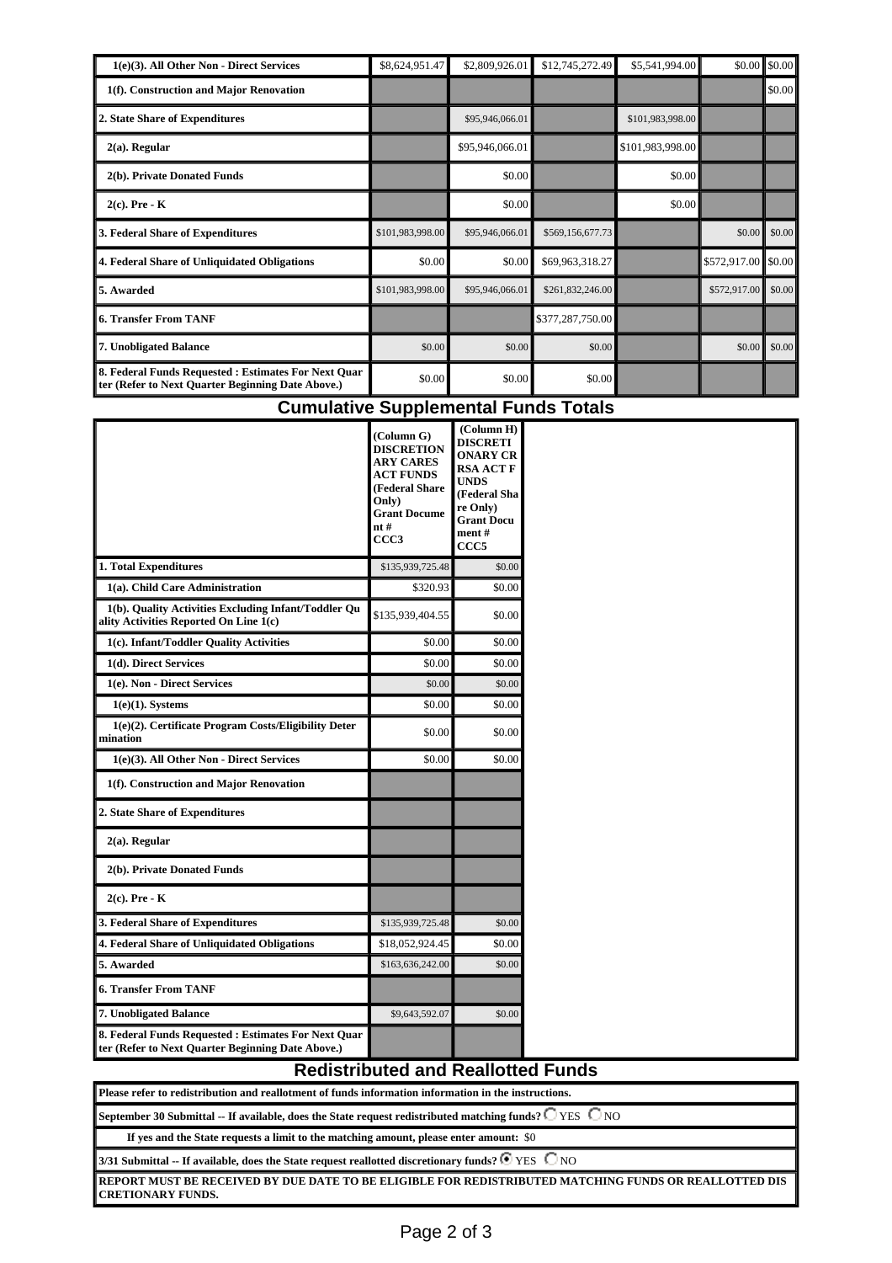| 1(e)(3). All Other Non - Direct Services                                                                  | \$8,624,951.47   | \$2,809,926.01  | \$12,745,272.49  | \$5,541,994.00   |                      | $$0.00$ \$0.00 |
|-----------------------------------------------------------------------------------------------------------|------------------|-----------------|------------------|------------------|----------------------|----------------|
| 1(f). Construction and Major Renovation                                                                   |                  |                 |                  |                  |                      | \$0.00         |
| 2. State Share of Expenditures                                                                            |                  | \$95,946,066.01 |                  | \$101,983,998.00 |                      |                |
| $2(a)$ . Regular                                                                                          |                  | \$95,946,066.01 |                  | \$101,983,998.00 |                      |                |
| 2(b). Private Donated Funds                                                                               |                  | \$0.00          |                  | \$0.00           |                      |                |
| $2(c)$ . Pre - K                                                                                          |                  | \$0.00          |                  | \$0.00           |                      |                |
| 3. Federal Share of Expenditures                                                                          | \$101,983,998.00 | \$95,946,066.01 | \$569,156,677.73 |                  | \$0.00               | \$0.00         |
| 4. Federal Share of Unliquidated Obligations                                                              | \$0.00           | \$0.00          | \$69,963,318.27  |                  | $$572,917.00$ \$0.00 |                |
| 5. Awarded                                                                                                | \$101,983,998.00 | \$95,946,066.01 | \$261,832,246.00 |                  | \$572,917.00         | \$0.00         |
| <b>6. Transfer From TANF</b>                                                                              |                  |                 | \$377,287,750.00 |                  |                      |                |
| 7. Unobligated Balance                                                                                    | \$0.00           | \$0.00          | \$0.00           |                  | \$0.00               | \$0.00         |
| 8. Federal Funds Requested : Estimates For Next Ouar<br>ter (Refer to Next Quarter Beginning Date Above.) | \$0.00           | \$0.00          | \$0.00           |                  |                      |                |

## **Cumulative Supplemental Funds Totals**

|                                                                                                           | (Column G)<br><b>DISCRETION</b><br><b>ARY CARES</b><br><b>ACT FUNDS</b><br>(Federal Share<br>Only)<br><b>Grant Docume</b><br>nt#<br>CCC <sub>3</sub> | (Column H)<br><b>DISCRETI</b><br><b>ONARY CR</b><br><b>RSA ACT F</b><br><b>UNDS</b><br>(Federal Sha<br>re Only)<br><b>Grant Docu</b><br>ment#<br>CCC <sub>5</sub> |
|-----------------------------------------------------------------------------------------------------------|------------------------------------------------------------------------------------------------------------------------------------------------------|-------------------------------------------------------------------------------------------------------------------------------------------------------------------|
| 1. Total Expenditures                                                                                     | \$135,939,725.48                                                                                                                                     | \$0.00                                                                                                                                                            |
| 1(a). Child Care Administration                                                                           | \$320.93                                                                                                                                             | \$0.00                                                                                                                                                            |
| 1(b). Quality Activities Excluding Infant/Toddler Qu<br>ality Activities Reported On Line 1(c)            | \$135,939,404.55                                                                                                                                     | \$0.00                                                                                                                                                            |
| 1(c). Infant/Toddler Quality Activities                                                                   | \$0.00                                                                                                                                               | \$0.00                                                                                                                                                            |
| 1(d). Direct Services                                                                                     | \$0.00                                                                                                                                               | \$0.00                                                                                                                                                            |
| 1(e). Non - Direct Services                                                                               | \$0.00                                                                                                                                               | \$0.00                                                                                                                                                            |
| $1(e)(1)$ . Systems                                                                                       | \$0.00                                                                                                                                               | \$0.00                                                                                                                                                            |
| 1(e)(2). Certificate Program Costs/Eligibility Deter<br>mination                                          | \$0.00                                                                                                                                               | \$0.00                                                                                                                                                            |
| 1(e)(3). All Other Non - Direct Services                                                                  | \$0.00                                                                                                                                               | \$0.00                                                                                                                                                            |
| 1(f). Construction and Major Renovation                                                                   |                                                                                                                                                      |                                                                                                                                                                   |
| 2. State Share of Expenditures                                                                            |                                                                                                                                                      |                                                                                                                                                                   |
| $2(a)$ . Regular                                                                                          |                                                                                                                                                      |                                                                                                                                                                   |
| 2(b). Private Donated Funds                                                                               |                                                                                                                                                      |                                                                                                                                                                   |
| $2(c)$ . Pre - K                                                                                          |                                                                                                                                                      |                                                                                                                                                                   |
| 3. Federal Share of Expenditures                                                                          | \$135,939,725.48                                                                                                                                     | \$0.00                                                                                                                                                            |
| 4. Federal Share of Unliquidated Obligations                                                              | \$18,052,924.45                                                                                                                                      | \$0.00                                                                                                                                                            |
| 5. Awarded                                                                                                | \$163,636,242.00                                                                                                                                     | \$0.00                                                                                                                                                            |
| <b>6. Transfer From TANF</b>                                                                              |                                                                                                                                                      |                                                                                                                                                                   |
| 7. Unobligated Balance                                                                                    | \$9,643,592.07                                                                                                                                       | \$0.00                                                                                                                                                            |
| 8. Federal Funds Requested : Estimates For Next Quar<br>ter (Refer to Next Quarter Beginning Date Above.) |                                                                                                                                                      |                                                                                                                                                                   |

| September 30 Submittal -- If available, does the State request redistributed matching funds? $\Box$ YES $\Box$ NO |  |  |
|-------------------------------------------------------------------------------------------------------------------|--|--|

If yes and the State requests a limit to the matching amount, please enter amount:  $\$0$ 

Please refer to redistribution and reallotment of funds information information in the instructions.

3/31 Submittal -- If available, does the State request reallotted discretionary funds?  $\bullet$  YES  $\circ$  NO

-<br>REPORT MUST BE RECEIVED BY DUE DATE TO BE ELIGIBLE FOR REDISTRIBUTED MATCHING FUNDS OR REALLOTTED DIS<br>CRETIONARY FUNDS.